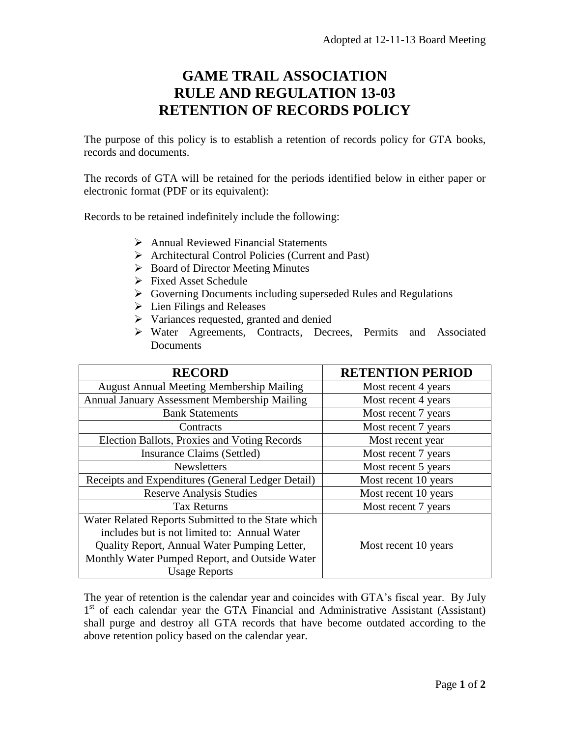## **GAME TRAIL ASSOCIATION RULE AND REGULATION 13-03 RETENTION OF RECORDS POLICY**

The purpose of this policy is to establish a retention of records policy for GTA books, records and documents.

The records of GTA will be retained for the periods identified below in either paper or electronic format (PDF or its equivalent):

Records to be retained indefinitely include the following:

- Annual Reviewed Financial Statements
- Architectural Control Policies (Current and Past)
- $\triangleright$  Board of Director Meeting Minutes
- Fixed Asset Schedule
- Governing Documents including superseded Rules and Regulations
- $\triangleright$  Lien Filings and Releases
- $\triangleright$  Variances requested, granted and denied
- Water Agreements, Contracts, Decrees, Permits and Associated **Documents**

| <b>RECORD</b>                                      | <b>RETENTION PERIOD</b> |
|----------------------------------------------------|-------------------------|
| <b>August Annual Meeting Membership Mailing</b>    | Most recent 4 years     |
| Annual January Assessment Membership Mailing       | Most recent 4 years     |
| <b>Bank Statements</b>                             | Most recent 7 years     |
| Contracts                                          | Most recent 7 years     |
| Election Ballots, Proxies and Voting Records       | Most recent year        |
| Insurance Claims (Settled)                         | Most recent 7 years     |
| Newsletters                                        | Most recent 5 years     |
| Receipts and Expenditures (General Ledger Detail)  | Most recent 10 years    |
| <b>Reserve Analysis Studies</b>                    | Most recent 10 years    |
| <b>Tax Returns</b>                                 | Most recent 7 years     |
| Water Related Reports Submitted to the State which |                         |
| includes but is not limited to: Annual Water       |                         |
| Quality Report, Annual Water Pumping Letter,       | Most recent 10 years    |
| Monthly Water Pumped Report, and Outside Water     |                         |
| <b>Usage Reports</b>                               |                         |

The year of retention is the calendar year and coincides with GTA's fiscal year. By July 1<sup>st</sup> of each calendar year the GTA Financial and Administrative Assistant (Assistant) shall purge and destroy all GTA records that have become outdated according to the above retention policy based on the calendar year.